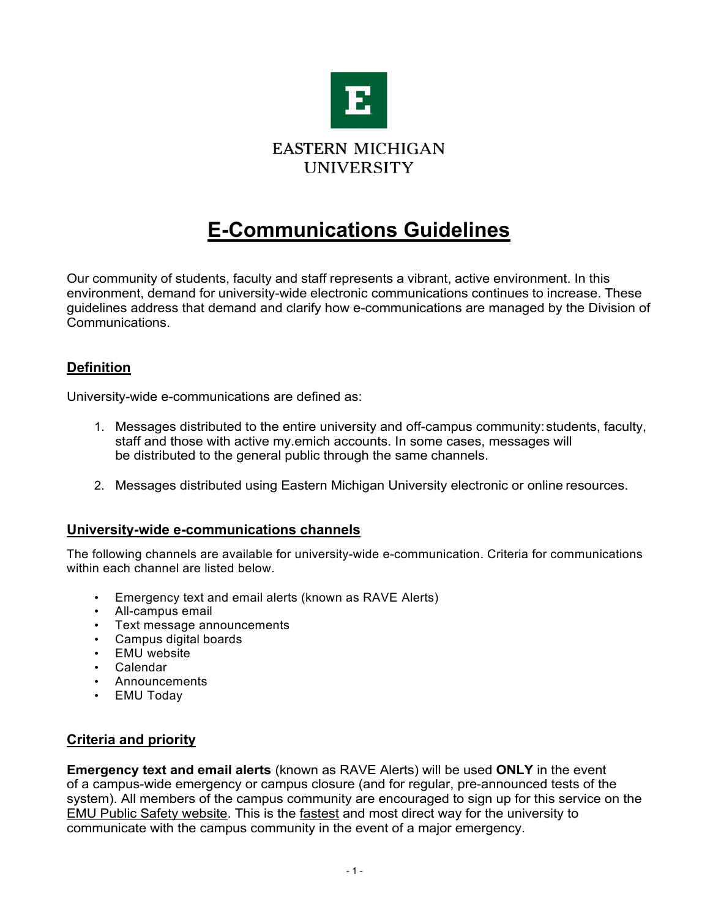

# **E-Communications Guidelines**

Our community of students, faculty and staff represents a vibrant, active environment. In this environment, demand for university-wide electronic communications continues to increase. These guidelines address that demand and clarify how e-communications are managed by the Division of Communications.

# **Definition**

University-wide e-communications are defined as:

- 1. Messages distributed to the entire university and off-campus community:students, faculty, staff and those with active my.emich accounts. In some cases, messages will be distributed to the general public through the same channels.
- 2. Messages distributed using Eastern Michigan University electronic or online resources.

## **University-wide e-communications channels**

The following channels are available for university-wide e-communication. Criteria for communications within each channel are listed below.

- Emergency text and email alerts (known as RAVE Alerts)
- All-campus email
- Text message announcements
- Campus digital boards
- EMU website
- Calendar
- Announcements
- EMU Today

# **Criteria and priority**

**Emergency text and email alerts** (known as RAVE Alerts) will be used **ONLY** in the event of a campus-wide emergency or campus closure (and for regular, pre-announced tests of the system). All members of the campus community are encouraged to sign up for this service on the EMU Public Safety website. This is the fastest and most direct way for the university to communicate with the campus community in the event of a major emergency.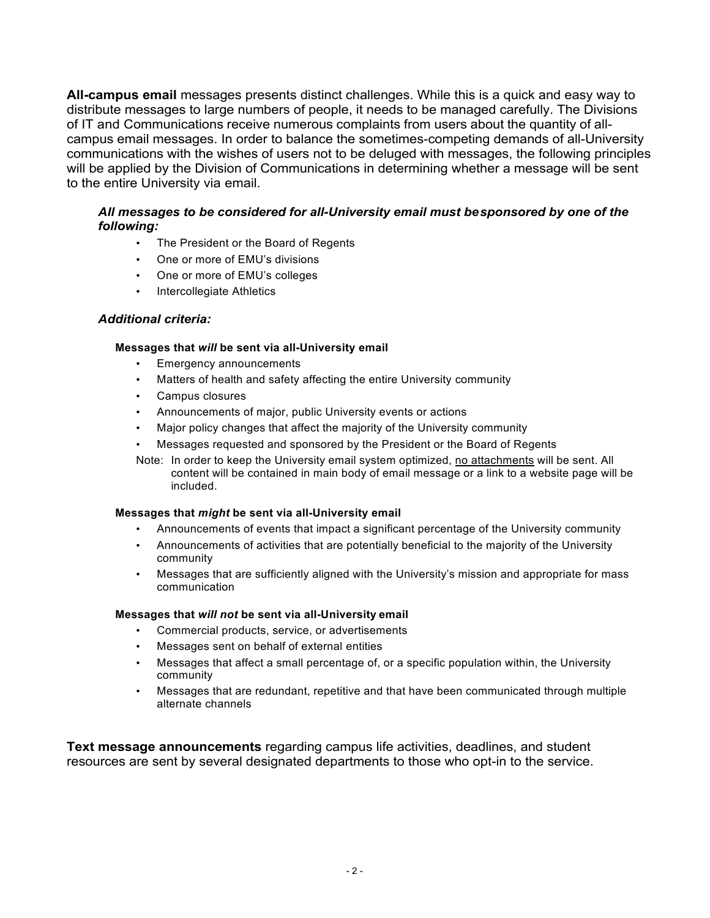**All-campus email** messages presents distinct challenges. While this is a quick and easy way to distribute messages to large numbers of people, it needs to be managed carefully. The Divisions of IT and Communications receive numerous complaints from users about the quantity of allcampus email messages. In order to balance the sometimes-competing demands of all-University communications with the wishes of users not to be deluged with messages, the following principles will be applied by the Division of Communications in determining whether a message will be sent to the entire University via email.

## *All messages to be considered for all-University email must besponsored by one of the following:*

- The President or the Board of Regents
- One or more of EMU's divisions
- One or more of EMU's colleges
- Intercollegiate Athletics

## *Additional criteria:*

### **Messages that** *will* **be sent via all-University email**

- Emergency announcements
- Matters of health and safety affecting the entire University community
- Campus closures
- Announcements of major, public University events or actions
- Major policy changes that affect the majority of the University community
- Messages requested and sponsored by the President or the Board of Regents
- Note: In order to keep the University email system optimized, no attachments will be sent. All content will be contained in main body of email message or a link to a website page will be included.

### **Messages that** *might* **be sent via all-University email**

- Announcements of events that impact a significant percentage of the University community
- Announcements of activities that are potentially beneficial to the majority of the University community
- Messages that are sufficiently aligned with the University's mission and appropriate for mass communication

### **Messages that** *will not* **be sent via all-University email**

- Commercial products, service, or advertisements
- Messages sent on behalf of external entities
- Messages that affect a small percentage of, or a specific population within, the University community
- Messages that are redundant, repetitive and that have been communicated through multiple alternate channels

**Text message announcements** regarding campus life activities, deadlines, and student resources are sent by several designated departments to those who opt-in to the service.